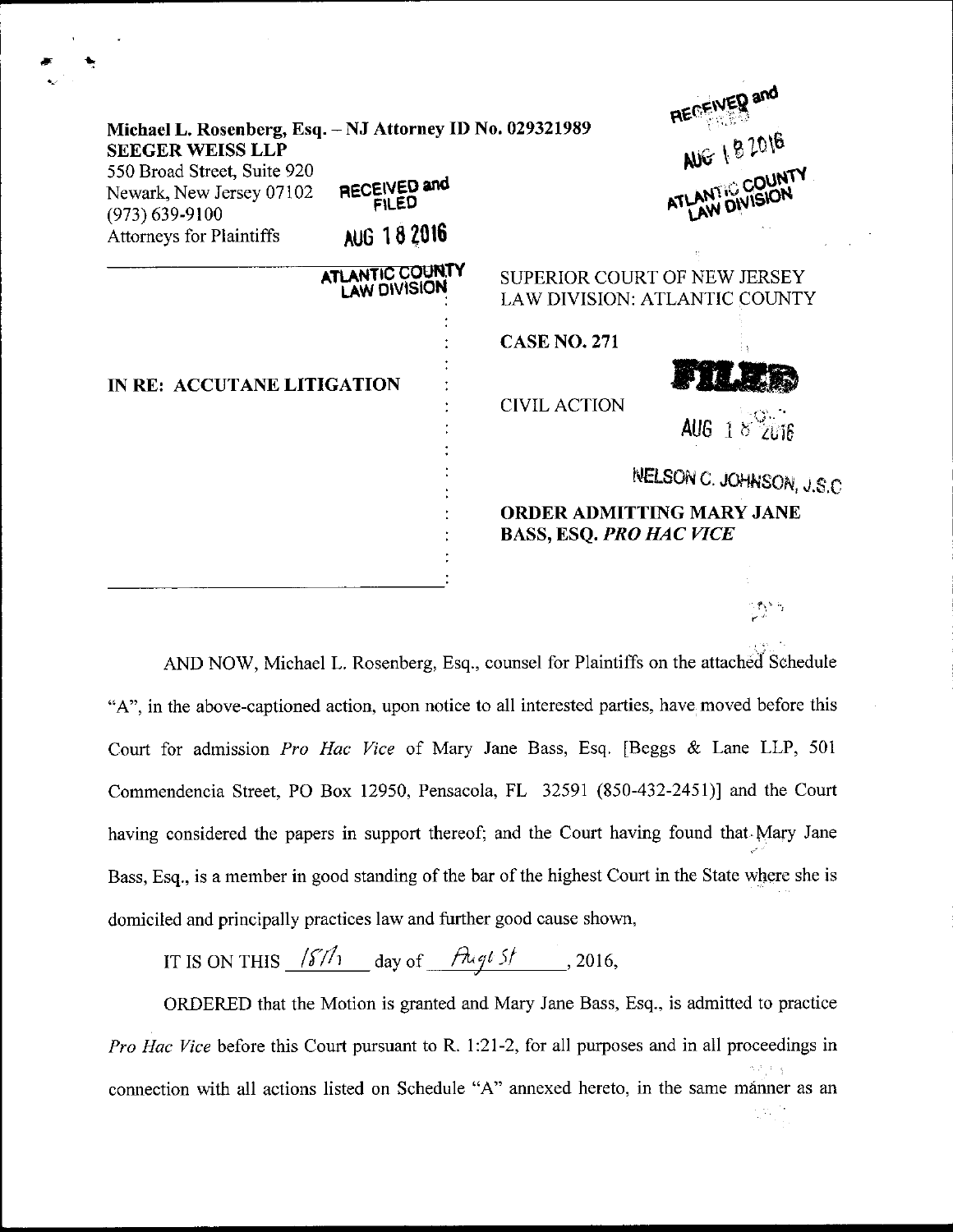|                                                                                                                                                                                                   |                                             |                                                                      | RECEIVED and                     |
|---------------------------------------------------------------------------------------------------------------------------------------------------------------------------------------------------|---------------------------------------------|----------------------------------------------------------------------|----------------------------------|
| Michael L. Rosenberg, Esq. - NJ Attorney ID No. 029321989<br><b>SEEGER WEISS LLP</b><br>550 Broad Street, Suite 920<br>Newark, New Jersey 07102<br>$(973) 639 - 9100$<br>Attorneys for Plaintiffs | RECEIVED and<br><b>FILED</b><br>AUG 18 2016 |                                                                      | AUG 182016<br>ATLANTIC COUNTY    |
|                                                                                                                                                                                                   | ATLANTIC COUNTY<br><b>LAW DIVISION</b>      | SUPERIOR COURT OF NEW JERSEY<br><b>LAW DIVISION: ATLANTIC COUNTY</b> |                                  |
| IN RE: ACCUTANE LITIGATION                                                                                                                                                                        |                                             | <b>CASE NO. 271</b>                                                  |                                  |
|                                                                                                                                                                                                   |                                             | <b>CIVIL ACTION</b>                                                  |                                  |
|                                                                                                                                                                                                   |                                             |                                                                      | AUG $1$                          |
|                                                                                                                                                                                                   |                                             |                                                                      | INELSON C. JOHNSON, J.S.C        |
|                                                                                                                                                                                                   |                                             | <b>BASS, ESQ. PRO HAC VICE</b>                                       | <b>ORDER ADMITTING MARY JANE</b> |
|                                                                                                                                                                                                   |                                             |                                                                      |                                  |
|                                                                                                                                                                                                   |                                             |                                                                      |                                  |

AND NOW, Michael L. Rosenberg, Esq., counsel for Plaintiffs on the attached Schedule "A", in the above-captioned action, upon notice to all interested parties, have moved before this Court for admission Pro Hac Vice of Mary Jane Bass, Esq. [Beggs & Lane LLP, <sup>501</sup> Commendencia Street, PO Box 12950, Pensacola, FL 32591 (850-432-2451)] and the Court having considered the papers in support thereof; and the Court having found that Mary Jane Bass, Esq., is a member in good standing of the bar of the highest Court in the State where she is domiciled and principally practices law and further good cause shown,

IT IS ON THIS  $\frac{187h}{\text{day of}}$  day of  $\frac{h\cdot dt}{\text{day of}}$ , 2016,

ORDERED that the Motion is granted and Mary Jane Bass, Esq., is admitted to practice Pro Hac Vice before this Court pursuant to R. 1:21-2, for all purposes and in all proceedings in connection with all actions listed on Schedule "A" annexed hereto, in the same manner as an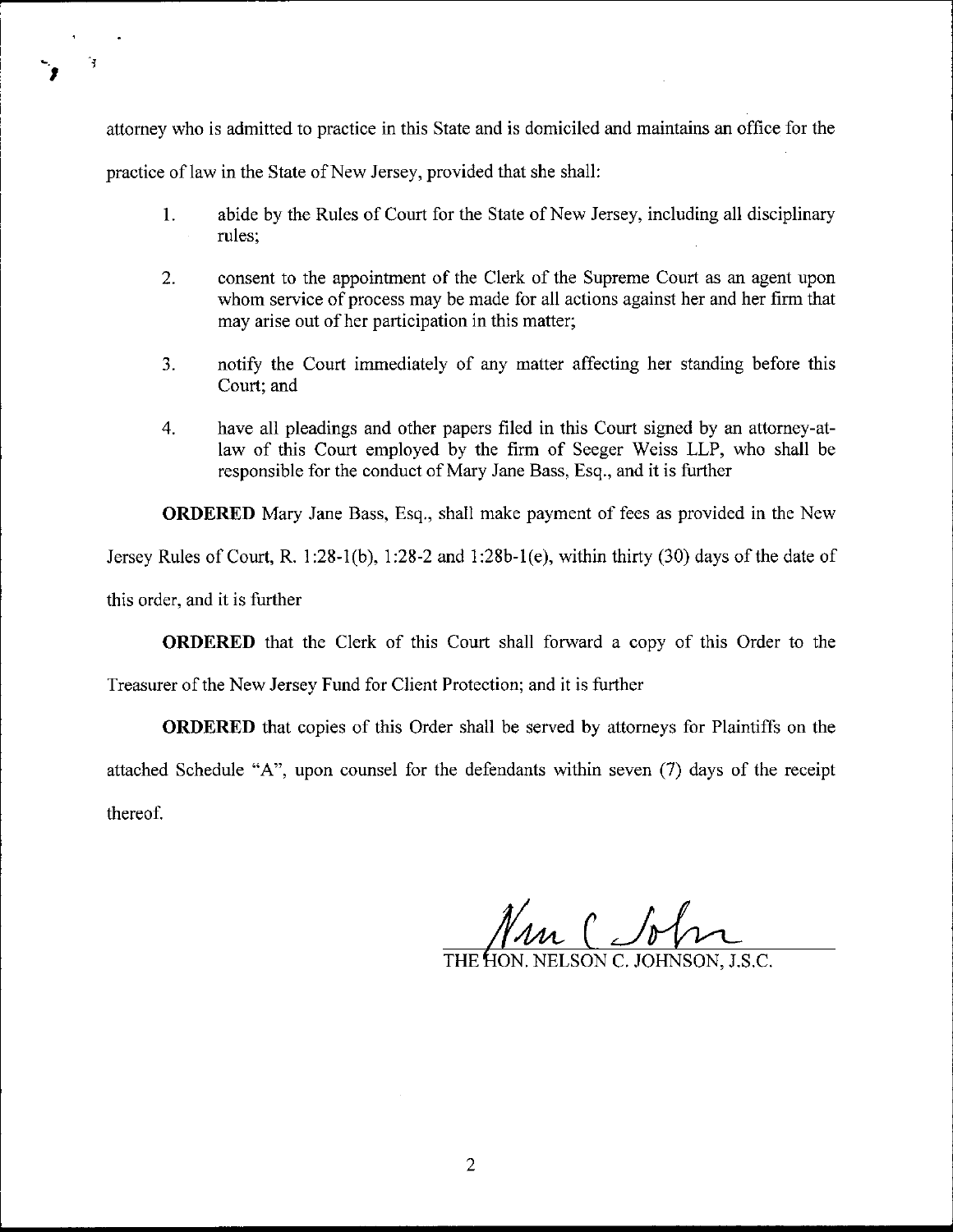attorney who is admitted to practice in this State and is domiciled and maintains an office for the practice of law in the State of New Jersey, provided that she shall:

- 1. abide by the Rules of Court for the State of New Jersey, including all disciplinary rules;
- 2. consent to the appointment of the Clerk of the Supreme Court as an agent upon whom service of process may be made for all actions against her and her firm that may arise out of her participation in this matter;
- 3. notify the Court immediately of any matter affecting her standing before this Court; and
- 4. have al1 pleadings and other papers filed in this Court signed by an attorney-atlaw of this Court employed by the firm of Seeger Weiss LLP, who shall be responsible for the conduct of Mary Jane Bass, Esq., and it is further

ORDERED Mary Jane Bass, Esq., shall make payment of fees as provided in the New

Jersey Rules of Court, R. 1:28-1(b), 1:28-2 and 1:28b-1(e), within thirty (30) days of the date of

this order, and it is further

rlt

 $\mathbf{r}$ 

ORDERED that the Clerk of this Court shall forward a copy of this Order to the

Treasurer of the New Jersey Fund for Client Protection; and it is further

ORDERED that copies of this Order shall be served by attomeys for Plaintiffs on the attached Schedule "A", upon counsel for the defendants within seven (7) days of the receipt thereof.

ON. NELSON C. JOHNSON, J.S.C.